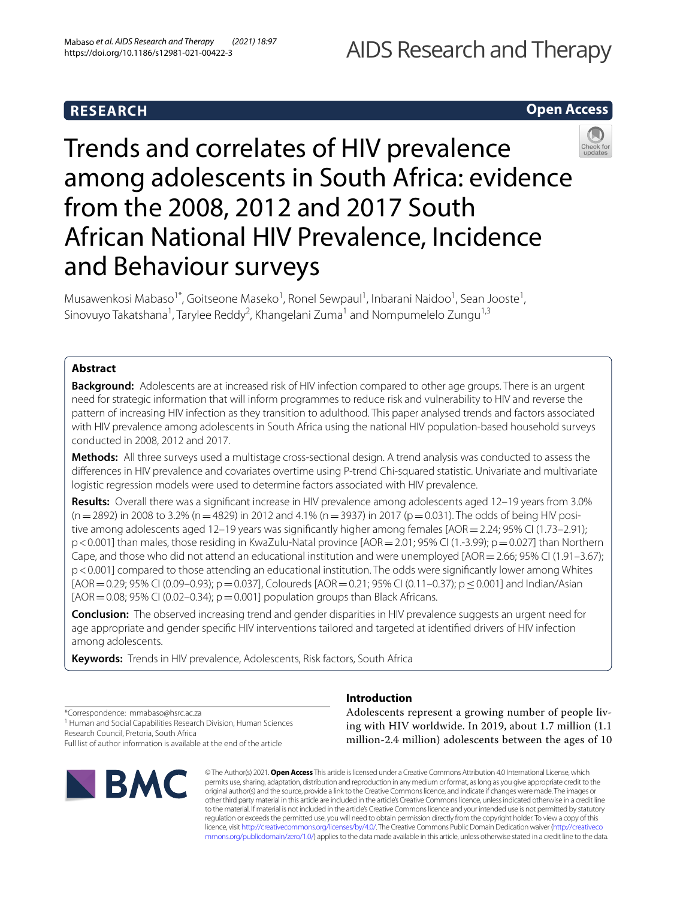# **RESEARCH**

## **Open Access**



Musawenkosi Mabaso<sup>1\*</sup>, Goitseone Maseko<sup>1</sup>, Ronel Sewpaul<sup>1</sup>, Inbarani Naidoo<sup>1</sup>, Sean Jooste<sup>1</sup>, Sinovuyo Takatshana<sup>1</sup>, Tarylee Reddy<sup>2</sup>, Khangelani Zuma<sup>1</sup> and Nompumelelo Zungu<sup>1,3</sup>

### **Abstract**

**Background:** Adolescents are at increased risk of HIV infection compared to other age groups. There is an urgent need for strategic information that will inform programmes to reduce risk and vulnerability to HIV and reverse the pattern of increasing HIV infection as they transition to adulthood. This paper analysed trends and factors associated with HIV prevalence among adolescents in South Africa using the national HIV population-based household surveys conducted in 2008, 2012 and 2017.

**Methods:** All three surveys used a multistage cross-sectional design. A trend analysis was conducted to assess the diferences in HIV prevalence and covariates overtime using P-trend Chi-squared statistic. Univariate and multivariate logistic regression models were used to determine factors associated with HIV prevalence.

**Results:** Overall there was a signifcant increase in HIV prevalence among adolescents aged 12–19 years from 3.0%  $(n=2892)$  in 2008 to 3.2% (n=4829) in 2012 and 4.1% (n=3937) in 2017 (p=0.031). The odds of being HIV positive among adolescents aged 12–19 years was signifcantly higher among females [AOR=2.24; 95% CI (1.73–2.91); p<0.001] than males, those residing in KwaZulu-Natal province [AOR=2.01; 95% CI (1.-3.99); p=0.027] than Northern Cape, and those who did not attend an educational institution and were unemployed [AOR = 2.66; 95% CI (1.91–3.67); p<0.001] compared to those attending an educational institution. The odds were signifcantly lower among Whites  $[AOR = 0.29; 95\%$  CI (0.09–0.93); p = 0.037], Coloureds  $[AOR = 0.21; 95\%$  CI (0.11–0.37); p  $\leq$  0.001] and Indian/Asian  $[AOR = 0.08; 95\% \text{ CI } (0.02 - 0.34); p = 0.001]$  population groups than Black Africans.

**Conclusion:** The observed increasing trend and gender disparities in HIV prevalence suggests an urgent need for age appropriate and gender specifc HIV interventions tailored and targeted at identifed drivers of HIV infection among adolescents.

**Keywords:** Trends in HIV prevalence, Adolescents, Risk factors, South Africa

\*Correspondence: mmabaso@hsrc.ac.za

<sup>1</sup> Human and Social Capabilities Research Division, Human Sciences Research Council, Pretoria, South Africa

Full list of author information is available at the end of the article



### **Introduction**

Adolescents represent a growing number of people living with HIV worldwide. In 2019, about 1.7 million (1.1 million-2.4 million) adolescents between the ages of 10

© The Author(s) 2021. **Open Access** This article is licensed under a Creative Commons Attribution 4.0 International License, which permits use, sharing, adaptation, distribution and reproduction in any medium or format, as long as you give appropriate credit to the original author(s) and the source, provide a link to the Creative Commons licence, and indicate if changes were made. The images or other third party material in this article are included in the article's Creative Commons licence, unless indicated otherwise in a credit line to the material. If material is not included in the article's Creative Commons licence and your intended use is not permitted by statutory regulation or exceeds the permitted use, you will need to obtain permission directly from the copyright holder. To view a copy of this licence, visit [http://creativecommons.org/licenses/by/4.0/.](http://creativecommons.org/licenses/by/4.0/) The Creative Commons Public Domain Dedication waiver ([http://creativeco](http://creativecommons.org/publicdomain/zero/1.0/) [mmons.org/publicdomain/zero/1.0/](http://creativecommons.org/publicdomain/zero/1.0/)) applies to the data made available in this article, unless otherwise stated in a credit line to the data.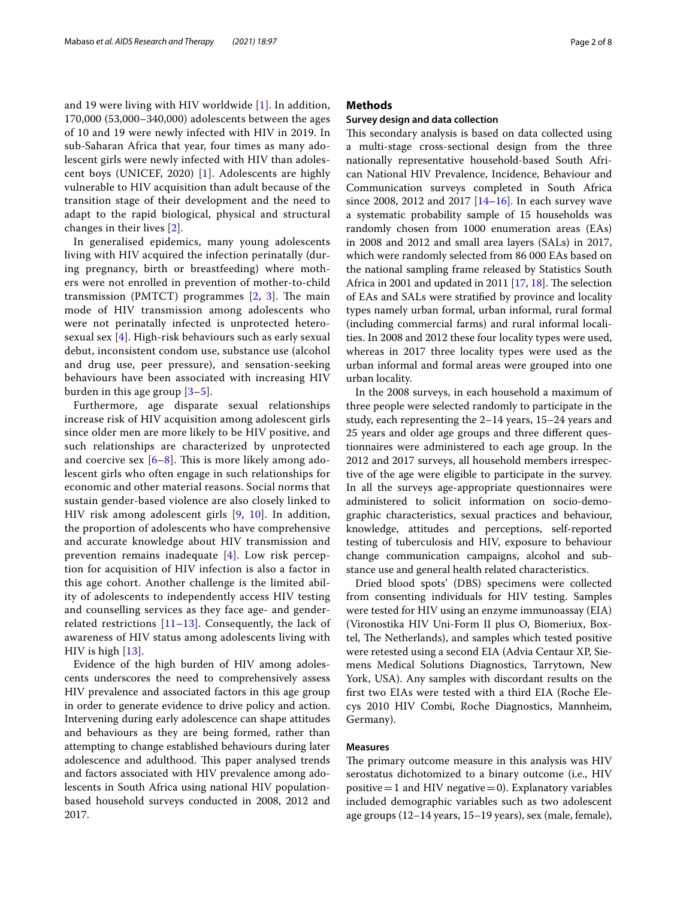and 19 were living with HIV worldwide [\[1](#page-7-0)]. In addition, 170,000 (53,000–340,000) adolescents between the ages of 10 and 19 were newly infected with HIV in 2019. In sub-Saharan Africa that year, four times as many adolescent girls were newly infected with HIV than adolescent boys (UNICEF, 2020) [[1](#page-7-0)]. Adolescents are highly vulnerable to HIV acquisition than adult because of the transition stage of their development and the need to adapt to the rapid biological, physical and structural changes in their lives [[2\]](#page-7-1).

In generalised epidemics, many young adolescents living with HIV acquired the infection perinatally (during pregnancy, birth or breastfeeding) where mothers were not enrolled in prevention of mother-to-child transmission (PMTCT) programmes  $[2, 3]$  $[2, 3]$  $[2, 3]$  $[2, 3]$ . The main mode of HIV transmission among adolescents who were not perinatally infected is unprotected heterosexual sex [\[4](#page-7-3)]. High-risk behaviours such as early sexual debut, inconsistent condom use, substance use (alcohol and drug use, peer pressure), and sensation-seeking behaviours have been associated with increasing HIV burden in this age group [\[3](#page-7-2)[–5\]](#page-7-4).

Furthermore, age disparate sexual relationships increase risk of HIV acquisition among adolescent girls since older men are more likely to be HIV positive, and such relationships are characterized by unprotected and coercive sex  $[6-8]$  $[6-8]$  $[6-8]$ . This is more likely among adolescent girls who often engage in such relationships for economic and other material reasons. Social norms that sustain gender-based violence are also closely linked to HIV risk among adolescent girls [[9,](#page-7-7) [10\]](#page-7-8). In addition, the proportion of adolescents who have comprehensive and accurate knowledge about HIV transmission and prevention remains inadequate [[4\]](#page-7-3). Low risk perception for acquisition of HIV infection is also a factor in this age cohort. Another challenge is the limited ability of adolescents to independently access HIV testing and counselling services as they face age- and genderrelated restrictions  $[11–13]$  $[11–13]$  $[11–13]$  $[11–13]$ . Consequently, the lack of awareness of HIV status among adolescents living with HIV is high [[13](#page-7-10)].

Evidence of the high burden of HIV among adolescents underscores the need to comprehensively assess HIV prevalence and associated factors in this age group in order to generate evidence to drive policy and action. Intervening during early adolescence can shape attitudes and behaviours as they are being formed, rather than attempting to change established behaviours during later adolescence and adulthood. This paper analysed trends and factors associated with HIV prevalence among adolescents in South Africa using national HIV populationbased household surveys conducted in 2008, 2012 and 2017.

### **Methods**

### **Survey design and data collection**

This secondary analysis is based on data collected using a multi-stage cross-sectional design from the three nationally representative household-based South African National HIV Prevalence, Incidence, Behaviour and Communication surveys completed in South Africa since 2008, 2012 and 2017 [\[14](#page-7-11)[–16](#page-7-12)]. In each survey wave a systematic probability sample of 15 households was randomly chosen from 1000 enumeration areas (EAs) in 2008 and 2012 and small area layers (SALs) in 2017, which were randomly selected from 86 000 EAs based on the national sampling frame released by Statistics South Africa in 2001 and updated in 2011  $[17, 18]$  $[17, 18]$  $[17, 18]$  $[17, 18]$ . The selection of EAs and SALs were stratifed by province and locality types namely urban formal, urban informal, rural formal (including commercial farms) and rural informal localities. In 2008 and 2012 these four locality types were used, whereas in 2017 three locality types were used as the urban informal and formal areas were grouped into one urban locality.

In the 2008 surveys, in each household a maximum of three people were selected randomly to participate in the study, each representing the 2–14 years, 15–24 years and 25 years and older age groups and three diferent questionnaires were administered to each age group. In the 2012 and 2017 surveys, all household members irrespective of the age were eligible to participate in the survey. In all the surveys age-appropriate questionnaires were administered to solicit information on socio-demographic characteristics, sexual practices and behaviour, knowledge, attitudes and perceptions, self-reported testing of tuberculosis and HIV, exposure to behaviour change communication campaigns, alcohol and substance use and general health related characteristics.

Dried blood spots' (DBS) specimens were collected from consenting individuals for HIV testing. Samples were tested for HIV using an enzyme immunoassay (EIA) (Vironostika HIV Uni-Form II plus O, Biomeriux, Boxtel, The Netherlands), and samples which tested positive were retested using a second EIA (Advia Centaur XP, Siemens Medical Solutions Diagnostics, Tarrytown, New York, USA). Any samples with discordant results on the frst two EIAs were tested with a third EIA (Roche Elecys 2010 HIV Combi, Roche Diagnostics, Mannheim, Germany).

### **Measures**

The primary outcome measure in this analysis was HIV serostatus dichotomized to a binary outcome (i.e., HIV positive  $=1$  and HIV negative  $=0$ ). Explanatory variables included demographic variables such as two adolescent age groups (12–14 years, 15–19 years), sex (male, female),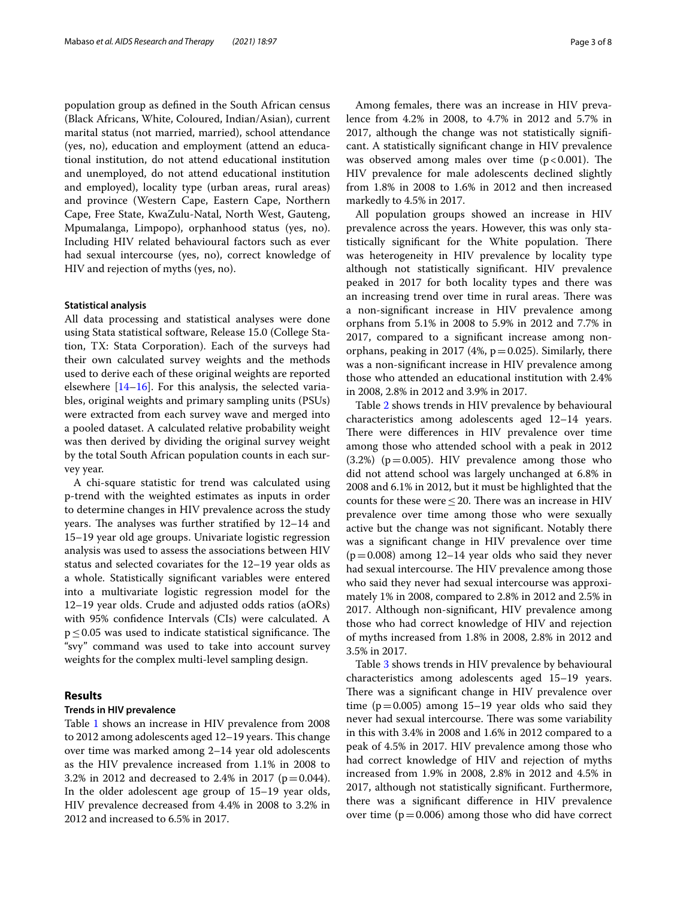population group as defned in the South African census (Black Africans, White, Coloured, Indian/Asian), current marital status (not married, married), school attendance (yes, no), education and employment (attend an educational institution, do not attend educational institution and unemployed, do not attend educational institution and employed), locality type (urban areas, rural areas) and province (Western Cape, Eastern Cape, Northern Cape, Free State, KwaZulu-Natal, North West, Gauteng, Mpumalanga, Limpopo), orphanhood status (yes, no). Including HIV related behavioural factors such as ever had sexual intercourse (yes, no), correct knowledge of HIV and rejection of myths (yes, no).

#### **Statistical analysis**

All data processing and statistical analyses were done using Stata statistical software, Release 15.0 (College Station, TX: Stata Corporation). Each of the surveys had their own calculated survey weights and the methods used to derive each of these original weights are reported elsewhere  $[14–16]$  $[14–16]$ . For this analysis, the selected variables, original weights and primary sampling units (PSUs) were extracted from each survey wave and merged into a pooled dataset. A calculated relative probability weight was then derived by dividing the original survey weight by the total South African population counts in each survey year.

A chi-square statistic for trend was calculated using p-trend with the weighted estimates as inputs in order to determine changes in HIV prevalence across the study years. The analyses was further stratified by  $12-14$  and 15–19 year old age groups. Univariate logistic regression analysis was used to assess the associations between HIV status and selected covariates for the 12–19 year olds as a whole. Statistically signifcant variables were entered into a multivariate logistic regression model for the 12–19 year olds. Crude and adjusted odds ratios (aORs) with 95% confdence Intervals (CIs) were calculated. A  $p \leq 0.05$  was used to indicate statistical significance. The "svy" command was used to take into account survey weights for the complex multi-level sampling design.

### **Results**

### **Trends in HIV prevalence**

Table [1](#page-3-0) shows an increase in HIV prevalence from 2008 to 2012 among adolescents aged 12-19 years. This change over time was marked among 2–14 year old adolescents as the HIV prevalence increased from 1.1% in 2008 to 3.2% in 2012 and decreased to 2.4% in 2017 ( $p = 0.044$ ). In the older adolescent age group of 15–19 year olds, HIV prevalence decreased from 4.4% in 2008 to 3.2% in 2012 and increased to 6.5% in 2017.

Among females, there was an increase in HIV prevalence from 4.2% in 2008, to 4.7% in 2012 and 5.7% in 2017, although the change was not statistically signifcant. A statistically signifcant change in HIV prevalence was observed among males over time  $(p < 0.001)$ . The HIV prevalence for male adolescents declined slightly from 1.8% in 2008 to 1.6% in 2012 and then increased markedly to 4.5% in 2017.

All population groups showed an increase in HIV prevalence across the years. However, this was only statistically significant for the White population. There was heterogeneity in HIV prevalence by locality type although not statistically signifcant. HIV prevalence peaked in 2017 for both locality types and there was an increasing trend over time in rural areas. There was a non-signifcant increase in HIV prevalence among orphans from 5.1% in 2008 to 5.9% in 2012 and 7.7% in 2017, compared to a signifcant increase among nonorphans, peaking in 2017 (4%,  $p = 0.025$ ). Similarly, there was a non-signifcant increase in HIV prevalence among those who attended an educational institution with 2.4% in 2008, 2.8% in 2012 and 3.9% in 2017.

Table [2](#page-4-0) shows trends in HIV prevalence by behavioural characteristics among adolescents aged 12–14 years. There were differences in HIV prevalence over time among those who attended school with a peak in 2012  $(3.2%)$  ( $p=0.005$ ). HIV prevalence among those who did not attend school was largely unchanged at 6.8% in 2008 and 6.1% in 2012, but it must be highlighted that the counts for these were  ${\leq}\,20.$  There was an increase in HIV prevalence over time among those who were sexually active but the change was not signifcant. Notably there was a signifcant change in HIV prevalence over time  $(p=0.008)$  among 12–14 year olds who said they never had sexual intercourse. The HIV prevalence among those who said they never had sexual intercourse was approximately 1% in 2008, compared to 2.8% in 2012 and 2.5% in 2017. Although non-signifcant, HIV prevalence among those who had correct knowledge of HIV and rejection of myths increased from 1.8% in 2008, 2.8% in 2012 and 3.5% in 2017.

Table [3](#page-4-1) shows trends in HIV prevalence by behavioural characteristics among adolescents aged 15–19 years. There was a significant change in HIV prevalence over time ( $p=0.005$ ) among 15–19 year olds who said they never had sexual intercourse. There was some variability in this with 3.4% in 2008 and 1.6% in 2012 compared to a peak of 4.5% in 2017. HIV prevalence among those who had correct knowledge of HIV and rejection of myths increased from 1.9% in 2008, 2.8% in 2012 and 4.5% in 2017, although not statistically signifcant. Furthermore, there was a signifcant diference in HIV prevalence over time  $(p=0.006)$  among those who did have correct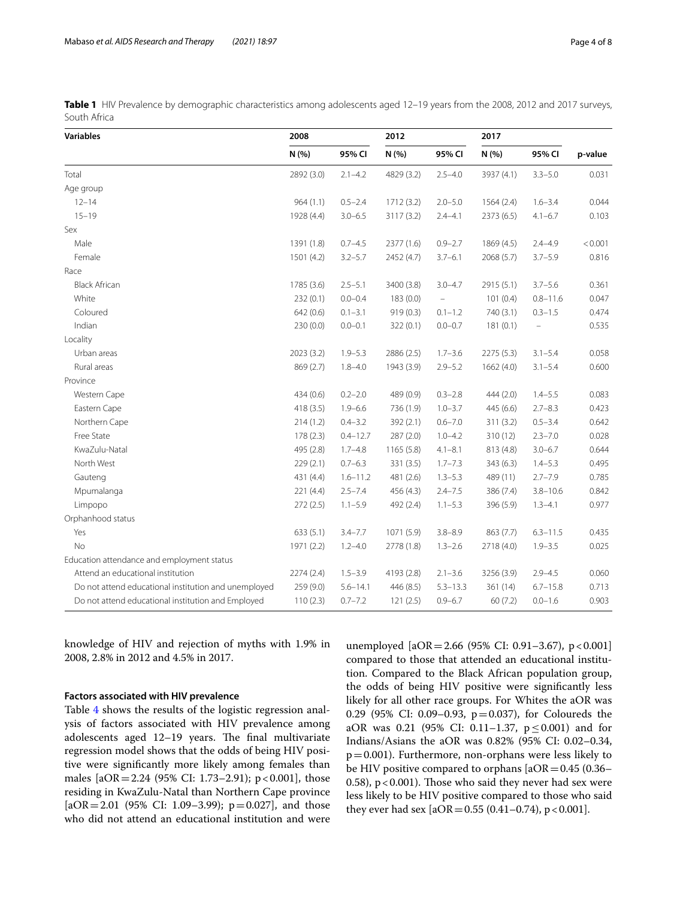| <b>Variables</b>                                     | 2008       |              | 2012       |              | 2017       |                   |         |
|------------------------------------------------------|------------|--------------|------------|--------------|------------|-------------------|---------|
|                                                      | N (%)      | 95% CI       | N (%)      | 95% CI       | N(% )      | 95% CI            | p-value |
| Total                                                | 2892 (3.0) | $2.1 - 4.2$  | 4829 (3.2) | $2.5 - 4.0$  | 3937 (4.1) | $3.3 - 5.0$       | 0.031   |
| Age group                                            |            |              |            |              |            |                   |         |
| $12 - 14$                                            | 964(1.1)   | $0.5 - 2.4$  | 1712 (3.2) | $2.0 - 5.0$  | 1564(2.4)  | $1.6 - 3.4$       | 0.044   |
| $15 - 19$                                            | 1928 (4.4) | $3.0 - 6.5$  | 3117 (3.2) | $2.4 - 4.1$  | 2373 (6.5) | $4.1 - 6.7$       | 0.103   |
| Sex                                                  |            |              |            |              |            |                   |         |
| Male                                                 | 1391 (1.8) | $0.7 - 4.5$  | 2377 (1.6) | $0.9 - 2.7$  | 1869 (4.5) | $2.4 - 4.9$       | < 0.001 |
| Female                                               | 1501 (4.2) | $3.2 - 5.7$  | 2452 (4.7) | $3.7 - 6.1$  | 2068 (5.7) | $3.7 - 5.9$       | 0.816   |
| Race                                                 |            |              |            |              |            |                   |         |
| <b>Black African</b>                                 | 1785 (3.6) | $2.5 - 5.1$  | 3400 (3.8) | $3.0 - 4.7$  | 2915 (5.1) | $3.7 - 5.6$       | 0.361   |
| White                                                | 232(0.1)   | $0.0 - 0.4$  | 183(0.0)   | $\equiv$     | 101(0.4)   | $0.8 - 11.6$      | 0.047   |
| Coloured                                             | 642 (0.6)  | $0.1 - 3.1$  | 919 (0.3)  | $0.1 - 1.2$  | 740 (3.1)  | $0.3 - 1.5$       | 0.474   |
| Indian                                               | 230(0.0)   | $0.0 - 0.1$  | 322(0.1)   | $0.0 - 0.7$  | 181(0.1)   | $\qquad \qquad -$ | 0.535   |
| Locality                                             |            |              |            |              |            |                   |         |
| Urban areas                                          | 2023 (3.2) | $1.9 - 5.3$  | 2886 (2.5) | $1.7 - 3.6$  | 2275 (5.3) | $3.1 - 5.4$       | 0.058   |
| Rural areas                                          | 869 (2.7)  | $1.8 - 4.0$  | 1943 (3.9) | $2.9 - 5.2$  | 1662 (4.0) | $3.1 - 5.4$       | 0.600   |
| Province                                             |            |              |            |              |            |                   |         |
| Western Cape                                         | 434(0.6)   | $0.2 - 2.0$  | 489 (0.9)  | $0.3 - 2.8$  | 444 (2.0)  | $1.4 - 5.5$       | 0.083   |
| Eastern Cape                                         | 418(3.5)   | $1.9 - 6.6$  | 736 (1.9)  | $1.0 - 3.7$  | 445 (6.6)  | $2.7 - 8.3$       | 0.423   |
| Northern Cape                                        | 214(1.2)   | $0.4 - 3.2$  | 392 (2.1)  | $0.6 - 7.0$  | 311(3.2)   | $0.5 - 3.4$       | 0.642   |
| Free State                                           | 178(2.3)   | $0.4 - 12.7$ | 287 (2.0)  | $1.0 - 4.2$  | 310(12)    | $2.3 - 7.0$       | 0.028   |
| KwaZulu-Natal                                        | 495 (2.8)  | $1.7 - 4.8$  | 1165 (5.8) | $4.1 - 8.1$  | 813 (4.8)  | $3.0 - 6.7$       | 0.644   |
| North West                                           | 229(2.1)   | $0.7 - 6.3$  | 331 (3.5)  | $1.7 - 7.3$  | 343(6.3)   | $1.4 - 5.3$       | 0.495   |
| Gauteng                                              | 431 (4.4)  | $1.6 - 11.2$ | 481 (2.6)  | $1.3 - 5.3$  | 489 (11)   | $2.7 - 7.9$       | 0.785   |
| Mpumalanga                                           | 221 (4.4)  | $2.5 - 7.4$  | 456 (4.3)  | $2.4 - 7.5$  | 386 (7.4)  | $3.8 - 10.6$      | 0.842   |
| Limpopo                                              | 272(2.5)   | $1.1 - 5.9$  | 492 (2.4)  | $1.1 - 5.3$  | 396 (5.9)  | $1.3 - 4.1$       | 0.977   |
| Orphanhood status                                    |            |              |            |              |            |                   |         |
| Yes                                                  | 633(5.1)   | $3.4 - 7.7$  | 1071 (5.9) | $3.8 - 8.9$  | 863 (7.7)  | $6.3 - 11.5$      | 0.435   |
| No                                                   | 1971 (2.2) | $1.2 - 4.0$  | 2778 (1.8) | $1.3 - 2.6$  | 2718 (4.0) | $1.9 - 3.5$       | 0.025   |
| Education attendance and employment status           |            |              |            |              |            |                   |         |
| Attend an educational institution                    | 2274(2.4)  | $1.5 - 3.9$  | 4193 (2.8) | $2.1 - 3.6$  | 3256 (3.9) | $2.9 - 4.5$       | 0.060   |
| Do not attend educational institution and unemployed | 259 (9.0)  | $5.6 - 14.1$ | 446 (8.5)  | $5.3 - 13.3$ | 361 (14)   | $6.7 - 15.8$      | 0.713   |
| Do not attend educational institution and Employed   | 110(2.3)   | $0.7 - 7.2$  | 121(2.5)   | $0.9 - 6.7$  | 60 (7.2)   | $0.0 - 1.6$       | 0.903   |

<span id="page-3-0"></span>**Table 1** HIV Prevalence by demographic characteristics among adolescents aged 12–19 years from the 2008, 2012 and 2017 surveys, South Africa

knowledge of HIV and rejection of myths with 1.9% in 2008, 2.8% in 2012 and 4.5% in 2017.

### **Factors associated with HIV prevalence**

Table [4](#page-5-0) shows the results of the logistic regression analysis of factors associated with HIV prevalence among adolescents aged  $12-19$  years. The final multivariate regression model shows that the odds of being HIV positive were signifcantly more likely among females than males  $[4OR = 2.24 (95\% CI: 1.73-2.91); p < 0.001]$ , those residing in KwaZulu-Natal than Northern Cape province [ $aOR = 2.01$  (95% CI: 1.09–3.99);  $p = 0.027$ ], and those who did not attend an educational institution and were unemployed  $[aOR = 2.66 (95\% CI: 0.91 - 3.67), p < 0.001]$ compared to those that attended an educational institution. Compared to the Black African population group, the odds of being HIV positive were signifcantly less likely for all other race groups. For Whites the aOR was 0.29 (95% CI: 0.09–0.93, p=0.037), for Coloureds the aOR was 0.21 (95% CI: 0.11–1.37,  $p \le 0.001$ ) and for Indians/Asians the aOR was 0.82% (95% CI: 0.02–0.34,  $p=0.001$ ). Furthermore, non-orphans were less likely to be HIV positive compared to orphans  $[aOR=0.45 (0.36-$ 0.58),  $p < 0.001$ ). Those who said they never had sex were less likely to be HIV positive compared to those who said they ever had sex  $[aOR = 0.55 (0.41 - 0.74), p < 0.001]$ .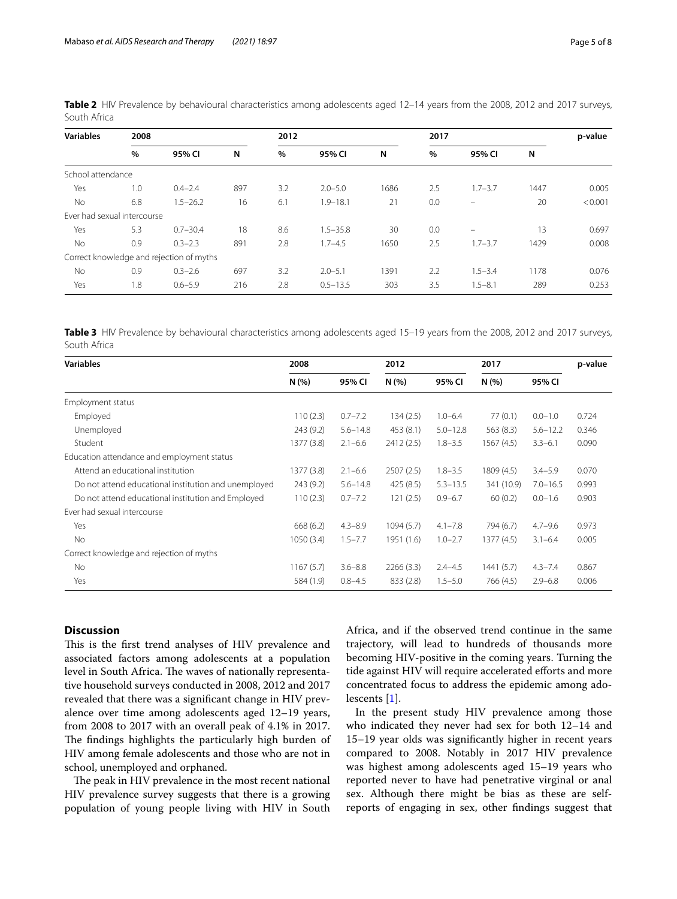| <b>Variables</b>            | 2008 |                                          |     |      | 2012         |      |      | 2017        |      |         |
|-----------------------------|------|------------------------------------------|-----|------|--------------|------|------|-------------|------|---------|
|                             | $\%$ | 95% CI                                   | N   | $\%$ | 95% CI       | N    | $\%$ | 95% CI      | N    |         |
| School attendance           |      |                                          |     |      |              |      |      |             |      |         |
| Yes                         | 1.0  | $0.4 - 2.4$                              | 897 | 3.2  | $2.0 - 5.0$  | 1686 | 2.5  | $1.7 - 3.7$ | 1447 | 0.005   |
| <b>No</b>                   | 6.8  | $1.5 - 26.2$                             | 16  | 6.1  | $1.9 - 18.1$ | 21   | 0.0  | -           | 20   | < 0.001 |
| Ever had sexual intercourse |      |                                          |     |      |              |      |      |             |      |         |
| Yes                         | 5.3  | $0.7 - 30.4$                             | 18  | 8.6  | $1.5 - 35.8$ | 30   | 0.0  | $\equiv$    | 13   | 0.697   |
| <b>No</b>                   | 0.9  | $0.3 - 2.3$                              | 891 | 2.8  | $1.7 - 4.5$  | 1650 | 2.5  | $1.7 - 3.7$ | 1429 | 0.008   |
|                             |      | Correct knowledge and rejection of myths |     |      |              |      |      |             |      |         |
| <b>No</b>                   | 0.9  | $0.3 - 2.6$                              | 697 | 3.2  | $2.0 - 5.1$  | 1391 | 2.2  | $1.5 - 3.4$ | 1178 | 0.076   |
| Yes                         | 1.8  | $0.6 - 5.9$                              | 216 | 2.8  | $0.5 - 13.5$ | 303  | 3.5  | $1.5 - 8.1$ | 289  | 0.253   |

<span id="page-4-0"></span>Table 2 HIV Prevalence by behavioural characteristics among adolescents aged 12-14 years from the 2008, 2012 and 2017 surveys, South Africa

<span id="page-4-1"></span>**Table 3** HIV Prevalence by behavioural characteristics among adolescents aged 15–19 years from the 2008, 2012 and 2017 surveys, South Africa

| <b>Variables</b>                                     | 2008       |              | 2012       |              | 2017       |              | p-value |
|------------------------------------------------------|------------|--------------|------------|--------------|------------|--------------|---------|
|                                                      | N(%        | 95% CI       | N(%        | 95% CI       | N(%        | 95% CI       |         |
| Employment status                                    |            |              |            |              |            |              |         |
| Employed                                             | 110(2.3)   | $0.7 - 7.2$  | 134(2.5)   | $1.0 - 6.4$  | 77(0.1)    | $0.0 - 1.0$  | 0.724   |
| Unemployed                                           | 243(9.2)   | $5.6 - 14.8$ | 453(8.1)   | $5.0 - 12.8$ | 563(8.3)   | $5.6 - 12.2$ | 0.346   |
| Student                                              | 1377 (3.8) | $2.1 - 6.6$  | 2412(2.5)  | $1.8 - 3.5$  | 1567(4.5)  | $3.3 - 6.1$  | 0.090   |
| Education attendance and employment status           |            |              |            |              |            |              |         |
| Attend an educational institution                    | 1377 (3.8) | $2.1 - 6.6$  | 2507(2.5)  | $1.8 - 3.5$  | 1809 (4.5) | $3.4 - 5.9$  | 0.070   |
| Do not attend educational institution and unemployed | 243 (9.2)  | $5.6 - 14.8$ | 425(8.5)   | $5.3 - 13.5$ | 341 (10.9) | $7.0 - 16.5$ | 0.993   |
| Do not attend educational institution and Employed   | 110(2.3)   | $0.7 - 7.2$  | 121(2.5)   | $0.9 - 6.7$  | 60(0.2)    | $0.0 - 1.6$  | 0.903   |
| Ever had sexual intercourse                          |            |              |            |              |            |              |         |
| Yes                                                  | 668(6.2)   | $4.3 - 8.9$  | 1094(5.7)  | $4.1 - 7.8$  | 794 (6.7)  | $4.7 - 9.6$  | 0.973   |
| No.                                                  | 1050(3.4)  | $1.5 - 7.7$  | 1951 (1.6) | $1.0 - 2.7$  | 1377(4.5)  | $3.1 - 6.4$  | 0.005   |
| Correct knowledge and rejection of myths             |            |              |            |              |            |              |         |
| No.                                                  | 1167(5.7)  | $3.6 - 8.8$  | 2266(3.3)  | $2.4 - 4.5$  | 1441(5.7)  | $4.3 - 7.4$  | 0.867   |
| Yes                                                  | 584 (1.9)  | $0.8 - 4.5$  | 833 (2.8)  | $1.5 - 5.0$  | 766 (4.5)  | $2.9 - 6.8$  | 0.006   |

### **Discussion**

This is the first trend analyses of HIV prevalence and associated factors among adolescents at a population level in South Africa. The waves of nationally representative household surveys conducted in 2008, 2012 and 2017 revealed that there was a signifcant change in HIV prevalence over time among adolescents aged 12–19 years, from 2008 to 2017 with an overall peak of 4.1% in 2017. The findings highlights the particularly high burden of HIV among female adolescents and those who are not in school, unemployed and orphaned.

The peak in HIV prevalence in the most recent national HIV prevalence survey suggests that there is a growing population of young people living with HIV in South Africa, and if the observed trend continue in the same trajectory, will lead to hundreds of thousands more becoming HIV-positive in the coming years. Turning the tide against HIV will require accelerated eforts and more concentrated focus to address the epidemic among adolescents [[1](#page-7-0)].

In the present study HIV prevalence among those who indicated they never had sex for both 12–14 and 15–19 year olds was signifcantly higher in recent years compared to 2008. Notably in 2017 HIV prevalence was highest among adolescents aged 15–19 years who reported never to have had penetrative virginal or anal sex. Although there might be bias as these are selfreports of engaging in sex, other fndings suggest that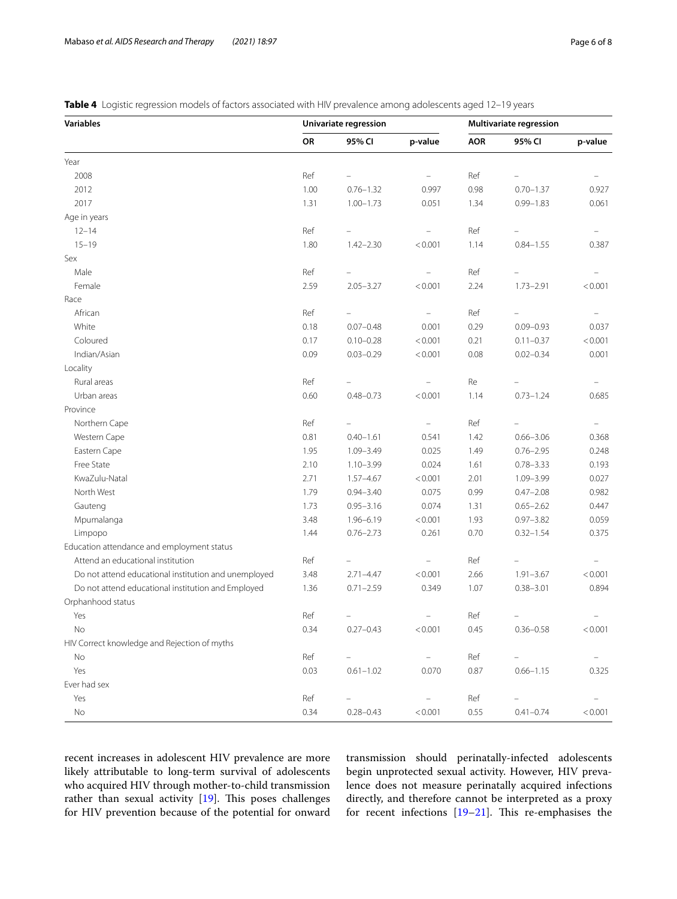<span id="page-5-0"></span>Table 4 Logistic regression models of factors associated with HIV prevalence among adolescents aged 12-19 years

| <b>Variables</b>                                     | Univariate regression |                          |                   |            | <b>Multivariate regression</b> |          |  |  |
|------------------------------------------------------|-----------------------|--------------------------|-------------------|------------|--------------------------------|----------|--|--|
|                                                      | OR                    | 95% CI                   | p-value           | <b>AOR</b> | 95% CI                         | p-value  |  |  |
| Year                                                 |                       |                          |                   |            |                                |          |  |  |
| 2008                                                 | Ref                   |                          |                   | Ref        |                                |          |  |  |
| 2012                                                 | 1.00                  | $0.76 - 1.32$            | 0.997             | 0.98       | $0.70 - 1.37$                  | 0.927    |  |  |
| 2017                                                 | 1.31                  | $1.00 - 1.73$            | 0.051             | 1.34       | $0.99 - 1.83$                  | 0.061    |  |  |
| Age in years                                         |                       |                          |                   |            |                                |          |  |  |
| $12 - 14$                                            | Ref                   |                          |                   | Ref        |                                |          |  |  |
| $15 - 19$                                            | 1.80                  | $1.42 - 2.30$            | < 0.001           | 1.14       | $0.84 - 1.55$                  | 0.387    |  |  |
| Sex                                                  |                       |                          |                   |            |                                |          |  |  |
| Male                                                 | Ref                   |                          |                   | Ref        |                                |          |  |  |
| Female                                               | 2.59                  | $2.05 - 3.27$            | < 0.001           | 2.24       | $1.73 - 2.91$                  | < 0.001  |  |  |
| Race                                                 |                       |                          |                   |            |                                |          |  |  |
| African                                              | Ref                   |                          |                   | Ref        |                                |          |  |  |
| White                                                | 0.18                  | $0.07 - 0.48$            | 0.001             | 0.29       | $0.09 - 0.93$                  | 0.037    |  |  |
| Coloured                                             | 0.17                  | $0.10 - 0.28$            | < 0.001           | 0.21       | $0.11 - 0.37$                  | < 0.001  |  |  |
| Indian/Asian                                         | 0.09                  | $0.03 - 0.29$            | < 0.001           | 0.08       | $0.02 - 0.34$                  | 0.001    |  |  |
| Locality                                             |                       |                          |                   |            |                                |          |  |  |
| Rural areas                                          | Ref                   |                          |                   | Re         |                                |          |  |  |
| Urban areas                                          | 0.60                  | $0.48 - 0.73$            | < 0.001           | 1.14       | $0.73 - 1.24$                  | 0.685    |  |  |
| Province                                             |                       |                          |                   |            |                                |          |  |  |
| Northern Cape                                        | Ref                   |                          | ÷                 | Ref        |                                |          |  |  |
| Western Cape                                         | 0.81                  | $0.40 - 1.61$            | 0.541             | 1.42       | $0.66 - 3.06$                  | 0.368    |  |  |
| Eastern Cape                                         | 1.95                  | 1.09-3.49                | 0.025             | 1.49       | $0.76 - 2.95$                  | 0.248    |  |  |
| Free State                                           | 2.10                  | $1.10 - 3.99$            | 0.024             | 1.61       | $0.78 - 3.33$                  | 0.193    |  |  |
| KwaZulu-Natal                                        | 2.71                  | $1.57 - 4.67$            | < 0.001           | 2.01       | 1.09-3.99                      | 0.027    |  |  |
| North West                                           | 1.79                  | $0.94 - 3.40$            | 0.075             | 0.99       | $0.47 - 2.08$                  | 0.982    |  |  |
| Gauteng                                              | 1.73                  | $0.95 - 3.16$            | 0.074             | 1.31       | $0.65 - 2.62$                  | 0.447    |  |  |
| Mpumalanga                                           | 3.48                  | $1.96 - 6.19$            | < 0.001           | 1.93       | $0.97 - 3.82$                  | 0.059    |  |  |
| Limpopo                                              | 1.44                  | $0.76 - 2.73$            | 0.261             | 0.70       | $0.32 - 1.54$                  | 0.375    |  |  |
| Education attendance and employment status           |                       |                          |                   |            |                                |          |  |  |
| Attend an educational institution                    | Ref                   |                          | $\qquad \qquad -$ | Ref        |                                |          |  |  |
| Do not attend educational institution and unemployed | 3.48                  | $2.71 - 4.47$            | < 0.001           | 2.66       | $1.91 - 3.67$                  | < 0.001  |  |  |
| Do not attend educational institution and Employed   | 1.36                  | $0.71 - 2.59$            | 0.349             | 1.07       | $0.38 - 3.01$                  | 0.894    |  |  |
| Orphanhood status                                    |                       |                          |                   |            |                                |          |  |  |
| Yes                                                  | Ref                   | $\overline{\phantom{0}}$ |                   | Ref        |                                |          |  |  |
| No                                                   | 0.34                  | $0.27 - 0.43$            | < 0.001           | 0.45       | $0.36 - 0.58$                  | < 0.001  |  |  |
| HIV Correct knowledge and Rejection of myths         |                       |                          |                   |            |                                |          |  |  |
| No                                                   | Ref                   | $=$                      |                   | Ref        |                                | $\equiv$ |  |  |
| Yes                                                  | 0.03                  | $0.61 - 1.02$            | 0.070             | 0.87       | $0.66 - 1.15$                  | 0.325    |  |  |
| Ever had sex                                         |                       |                          |                   |            |                                |          |  |  |
| Yes                                                  | Ref                   |                          |                   | Ref        |                                | $\equiv$ |  |  |
| No                                                   | 0.34                  | $0.28 - 0.43$            | < 0.001           | 0.55       | $0.41 - 0.74$                  | < 0.001  |  |  |

recent increases in adolescent HIV prevalence are more likely attributable to long-term survival of adolescents who acquired HIV through mother-to-child transmission rather than sexual activity  $[19]$ . This poses challenges for HIV prevention because of the potential for onward

transmission should perinatally-infected adolescents begin unprotected sexual activity. However, HIV prevalence does not measure perinatally acquired infections directly, and therefore cannot be interpreted as a proxy for recent infections [\[19](#page-7-15)-21]. This re-emphasises the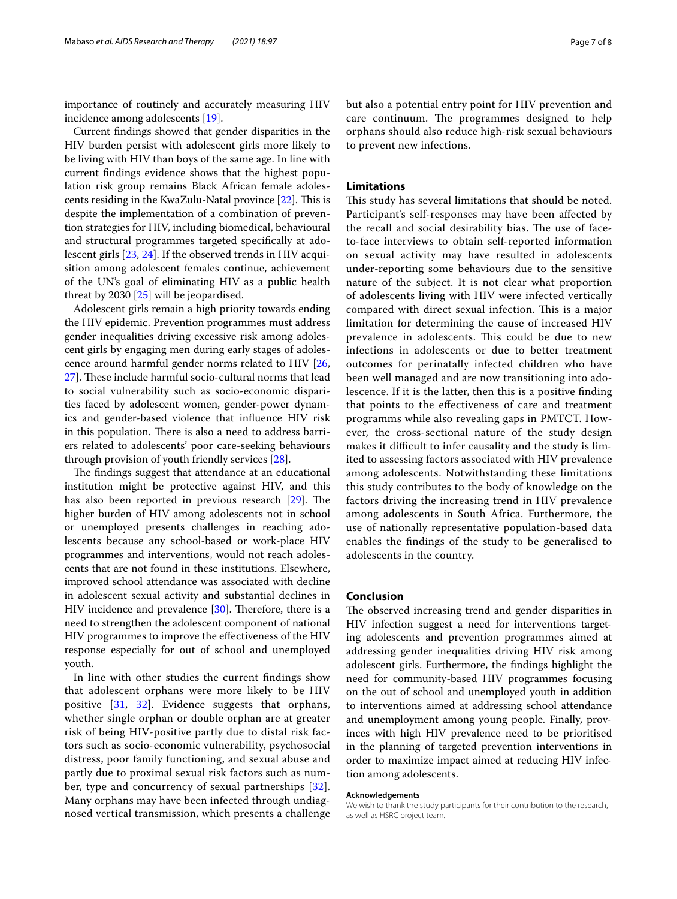importance of routinely and accurately measuring HIV incidence among adolescents [\[19](#page-7-15)].

Current fndings showed that gender disparities in the HIV burden persist with adolescent girls more likely to be living with HIV than boys of the same age. In line with current fndings evidence shows that the highest population risk group remains Black African female adolescents residing in the KwaZulu-Natal province  $[22]$  $[22]$ . This is despite the implementation of a combination of prevention strategies for HIV, including biomedical, behavioural and structural programmes targeted specifcally at adolescent girls [\[23](#page-7-18), [24\]](#page-7-19). If the observed trends in HIV acquisition among adolescent females continue, achievement of the UN's goal of eliminating HIV as a public health threat by 2030 [[25](#page-7-20)] will be jeopardised.

Adolescent girls remain a high priority towards ending the HIV epidemic. Prevention programmes must address gender inequalities driving excessive risk among adolescent girls by engaging men during early stages of adolescence around harmful gender norms related to HIV [\[26](#page-7-21), [27\]](#page-7-22). These include harmful socio-cultural norms that lead to social vulnerability such as socio-economic disparities faced by adolescent women, gender-power dynamics and gender-based violence that infuence HIV risk in this population. There is also a need to address barriers related to adolescents' poor care-seeking behaviours through provision of youth friendly services [[28\]](#page-7-23).

The findings suggest that attendance at an educational institution might be protective against HIV, and this has also been reported in previous research  $[29]$  $[29]$ . The higher burden of HIV among adolescents not in school or unemployed presents challenges in reaching adolescents because any school-based or work-place HIV programmes and interventions, would not reach adolescents that are not found in these institutions. Elsewhere, improved school attendance was associated with decline in adolescent sexual activity and substantial declines in HIV incidence and prevalence  $[30]$  $[30]$ . Therefore, there is a need to strengthen the adolescent component of national HIV programmes to improve the efectiveness of the HIV response especially for out of school and unemployed youth.

In line with other studies the current fndings show that adolescent orphans were more likely to be HIV positive [\[31](#page-7-26), [32\]](#page-7-27). Evidence suggests that orphans, whether single orphan or double orphan are at greater risk of being HIV-positive partly due to distal risk factors such as socio-economic vulnerability, psychosocial distress, poor family functioning, and sexual abuse and partly due to proximal sexual risk factors such as number, type and concurrency of sexual partnerships [[32\]](#page-7-27). Many orphans may have been infected through undiagnosed vertical transmission, which presents a challenge but also a potential entry point for HIV prevention and care continuum. The programmes designed to help orphans should also reduce high-risk sexual behaviours to prevent new infections.

### **Limitations**

This study has several limitations that should be noted. Participant's self-responses may have been afected by the recall and social desirability bias. The use of faceto-face interviews to obtain self-reported information on sexual activity may have resulted in adolescents under-reporting some behaviours due to the sensitive nature of the subject. It is not clear what proportion of adolescents living with HIV were infected vertically compared with direct sexual infection. This is a major limitation for determining the cause of increased HIV prevalence in adolescents. This could be due to new infections in adolescents or due to better treatment outcomes for perinatally infected children who have been well managed and are now transitioning into adolescence. If it is the latter, then this is a positive fnding that points to the efectiveness of care and treatment programms while also revealing gaps in PMTCT. However, the cross-sectional nature of the study design makes it difficult to infer causality and the study is limited to assessing factors associated with HIV prevalence among adolescents. Notwithstanding these limitations this study contributes to the body of knowledge on the factors driving the increasing trend in HIV prevalence among adolescents in South Africa. Furthermore, the use of nationally representative population-based data enables the fndings of the study to be generalised to adolescents in the country.

### **Conclusion**

The observed increasing trend and gender disparities in HIV infection suggest a need for interventions targeting adolescents and prevention programmes aimed at addressing gender inequalities driving HIV risk among adolescent girls. Furthermore, the fndings highlight the need for community-based HIV programmes focusing on the out of school and unemployed youth in addition to interventions aimed at addressing school attendance and unemployment among young people. Finally, provinces with high HIV prevalence need to be prioritised in the planning of targeted prevention interventions in order to maximize impact aimed at reducing HIV infection among adolescents.

#### **Acknowledgements**

We wish to thank the study participants for their contribution to the research, as well as HSRC project team.